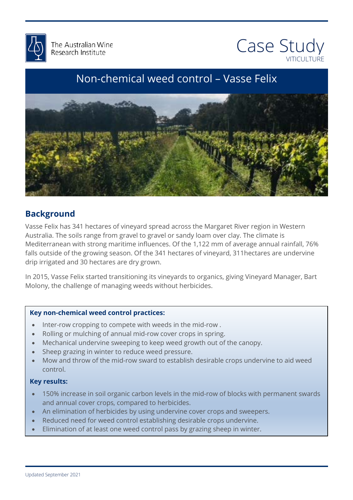



# Non-chemical weed control – Vasse Felix



## **Background**

 Vasse Felix has 341 hectares of vineyard spread across the Margaret River region in Western Mediterranean with strong maritime influences. Of the 1,122 mm of average annual rainfall, 76%<br>falls outside of the growing season. Of the 341 hectares of vinevard. 311 hectares are undervine Australia. The soils range from gravel to gravel or sandy loam over clay. The climate is falls outside of the growing season. Of the 341 hectares of vineyard, 311hectares are undervine drip irrigated and 30 hectares are dry grown.

urip irrigated and 30 nectares are dry grown.<br>In 2015, Vasse Felix started transitioning its vineyards to organics, giving Vineyard Manager, Bart Molony, the challenge of managing weeds without herbicides.

#### **Key non-chemical weed control practices:**

- Inter-row cropping to compete with weeds in the mid-row .
- Rolling or mulching of annual mid-row cover crops in spring.
- $\frac{1}{2}$ • Mechanical undervine sweeping to keep weed growth out of the canopy.
- Sheep grazing in winter to reduce weed pressure.
- • Mow and throw of the mid-row sward to establish desirable crops undervine to aid weed control.

#### **Key results:**

- 150% increase in soil organic carbon levels in the mid-row of blocks with permanent swards and annual cover crops, compared to herbicides.
- An elimination of herbicides by using undervine cover crops and sweepers.
- Reduced need for weed control establishing desirable crops undervine.
- Elimination of at least one weed control pass by grazing sheep in winter.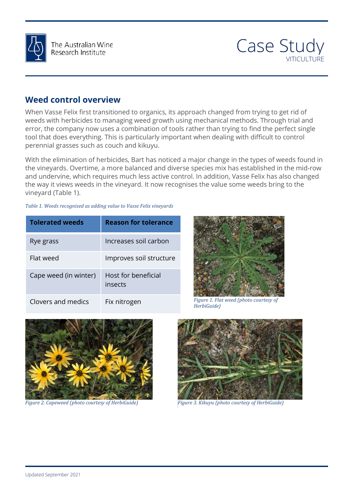

The Australian Wine Research Institute

# Case Study VITICULTURE

### **Weed control overview**

When Vasse Felix first transitioned to organics, its approach changed from trying to get rid of weeds with herbicides to managing weed growth using mechanical methods. Through trial and error, the company now uses a combination of tools rather than trying to find the perfect single tool that does everything. This is particularly important when dealing with difficult to control perennial grasses such as couch and kikuyu.

With the elimination of herbicides, Bart has noticed a major change in the types of weeds found in the vineyards. Overtime, a more balanced and diverse species mix has established in the mid-row and undervine, which requires much less active control. In addition, Vasse Felix has also changed the way it views weeds in the vineyard. It now recognises the value some weeds bring to the vineyard (Table 1).

*Table 1. Weeds recognised as adding value to Vasse Felix vineyards*

| <b>Tolerated weeds</b> | <b>Reason for tolerance</b>    |
|------------------------|--------------------------------|
| Rye grass              | Increases soil carbon          |
| Flat weed              | Improves soil structure        |
| Cape weed (in winter)  | Host for beneficial<br>insects |
| Clovers and medics     | Fix nitrogen                   |



*HerbiGuide)*



*Figure 2. Capeweed (photo courtesy of HerbiGuide) Figure 3. Kikuyu (photo courtesy of HerbiGuide)*

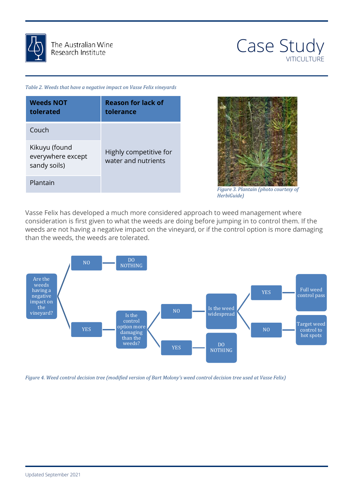



*Table 2. Weeds that have a negative impact on Vasse Felix vineyards*

| <b>Weeds NOT</b><br>tolerated                      | <b>Reason for lack of</b><br>tolerance        |  |
|----------------------------------------------------|-----------------------------------------------|--|
| Couch                                              |                                               |  |
| Kikuyu (found<br>everywhere except<br>sandy soils) | Highly competitive for<br>water and nutrients |  |
| Plantain                                           |                                               |  |



 *Figure 3. Plantain (photo courtesy of HerbiGuide)*

יי<br>זר<br>i Vasse Felix has developed a much more considered approach to weed management where consideration is first given to what the weeds are doing before jumping in to control them. If the weeds are not having a negative impact on the vineyard, or if the control option is more damaging than the weeds, the weeds are tolerated.

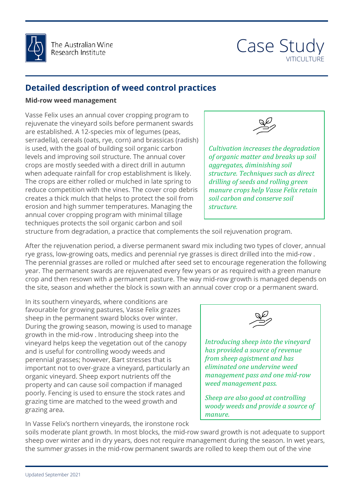



## **Detailed description of weed control practices**

### **Mid-row weed management**

annual cover cropping program with minimal tillage<br>techniques protects the soil organic carbon and soil<br>structure from degradation, a practice that complements the soil rejuvenation program. Vasse Felix uses an annual cover cropping program to rejuvenate the vineyard soils before permanent swards are established. A 12-species mix of legumes (peas, serradella), cereals (oats, rye, corn) and brassicas (radish) is used, with the goal of building soil organic carbon levels and improving soil structure. The annual cover crops are mostly seeded with a direct drill in autumn when adequate rainfall for crop establishment is likely. The crops are either rolled or mulched in late spring to reduce competition with the vines. The cover crop debris creates a thick mulch that helps to protect the soil from erosion and high summer temperatures. Managing the annual cover cropping program with minimal tillage techniques protects the soil organic carbon and soil



 *soil carbon and conserve soil Cultivation increases the degradation of organic matter and breaks up soil aggregates, diminishing soil structure. Techniques such as direct drilling of seeds and rolling green manure crops help Vasse Felix retain structure.*

p<br>n ag<br>eq<br>rc the site, season and whether the block is sown with an annual cover crop or a permanent sward.<br>In its southern vinevards. where conditions are After the rejuvenation period, a diverse permanent sward mix including two types of clover, annual rye grass, low-growing oats, medics and perennial rye grasses is direct drilled into the mid-row . The perennial grasses are rolled or mulched after seed set to encourage regeneration the following year. The permanent swards are rejuvenated every few years or as required with a green manure crop and then resown with a permanent pasture. The way mid-row growth is managed depends on

In its southern vineyards, where conditions are favourable for growing pastures, Vasse Felix grazes sheep in the permanent sward blocks over winter. During the growing season, mowing is used to manage growth in the mid-row . Introducing sheep into the vineyard helps keep the vegetation out of the canopy and is useful for controlling woody weeds and perennial grasses; however, Bart stresses that is important not to over-graze a vineyard, particularly an organic vineyard. Sheep export nutrients off the property and can cause soil compaction if managed poorly. Fencing is used to ensure the stock rates and grazing time are matched to the weed growth and grazing area.

In Vasse Felix's northern vineyards, the ironstone rock



 *Introducing sheep into the vineyard*  yı<br>16<br>- r *has provided a source of revenue from sheep agistment and has eliminated one undervine weed management pass and one mid-row weed management pass.*

*Sheep are also good at controlling woody weeds and provide a source of manure.*

soils moderate plant growth. In most blocks, the mid-row sward growth is not adequate to support sheep over winter and in dry years, does not require management during the season. In wet years, the summer grasses in the mid-row permanent swards are rolled to keep them out of the vine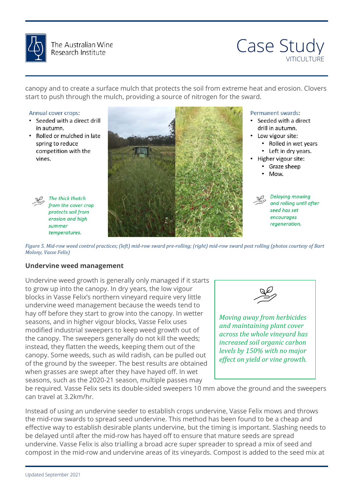

# Case Study VITICULTURE

canopy and to create a surface mulch that protects the soil from extreme heat and erosion. Clovers start to push through the mulch, providing a source of nitrogen for the sward.

Annual cover crops:

- Seeded with a direct drill in autumn.
- . Rolled or mulched in late spring to reduce competition with the vines.



The thick thatch from the cover crop protects soil from erosion and high summer temperatures.



- Permanent swards:
- Seeded with a direct drill in autumn.
- Low vigour site:
	- Rolled in wet years
	- Left in dry years.
- · Higher vigour site:
	- Graze sheep
	- Mow.

Delaying mowing<br>and rolling until after seed has set encourages<br>regeneration.

in, *Figure 5. Mid-row weed control practices; (left) mid-row sward pre-rolling; (right) mid-row sward post rolling (photos courtesy of Bart Molony, Vasse Felix)*

#### **Undervine weed management**

Undervine weed growth is generally only managed if it starts to grow up into the canopy. In dry years, the low vigour blocks in Vasse Felix's northern vineyard require very little undervine weed management because the weeds tend to hay off before they start to grow into the canopy. In wetter seasons, and in higher vigour blocks, Vasse Felix uses modified industrial sweepers to keep weed growth out of the canopy. The sweepers generally do not kill the weeds; instead, they flatten the weeds, keeping them out of the canopy. Some weeds, such as wild radish, can be pulled out of the ground by the sweeper. The best results are obtained when grasses are swept after they have hayed off. In wet seasons, such as the 2020-21 season, multiple passes may



be required. Vasse Felix sets its double-sided sweepers 10 mm above the ground and the sweepers can travel at 3.2km/hr.

Instead of using an undervine seeder to establish crops undervine, Vasse Felix mows and throws the mid-row swards to spread seed undervine. This method has been found to be a cheap and effective way to establish desirable plants undervine, but the timing is important. Slashing needs to be delayed until after the mid-row has hayed off to ensure that mature seeds are spread undervine. Vasse Felix is also trialling a broad acre super spreader to spread a mix of seed and compost in the mid-row and undervine areas of its vineyards. Compost is added to the seed mix at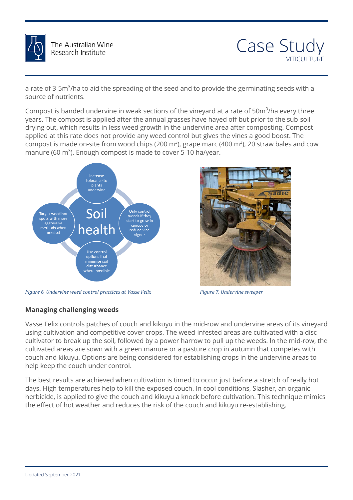

The Australian Wine Research Institute



a rate of 3-5m<sup>3</sup>/ha to aid the spreading of the seed and to provide the germinating seeds with a source of nutrients.

Compost is banded undervine in weak sections of the vineyard at a rate of 50m<sup>3</sup>/ha every three years. The compost is applied after the annual grasses have hayed off but prior to the sub-soil drying out, which results in less weed growth in the undervine area after composting. Compost applied at this rate does not provide any weed control but gives the vines a good boost. The compost is made on-site from wood chips (200 m<sup>3</sup>), grape marc (400 m<sup>3</sup>), 20 straw bales and cow manure (60  $\text{m}^3$ ). Enough compost is made to cover 5-10 ha/year.



*Figure 6. Undervine weed control practices at Vasse Felix Figure 7. Undervine sweeper*



Figure 7. Undervine sweeper

### **Managing challenging weeds**

wianaging chanenging weeds<br>Vasse Felix controls patches of couch and kikuyu in the mid-row and undervine areas of its vineyard cultivator to break up the soil, followed by a power harrow to pull up the weeds. In the mid-row,<br>cultivated areas are sown with a green manure or a pasture crop in autumn that competes with couch and kikuyu. Options are being considered for establishing crops in the undervine areas to<br>help keep the couch under control. using cultivation and competitive cover crops. The weed-infested areas are cultivated with a disc cultivator to break up the soil, followed by a power harrow to pull up the weeds. In the mid-row, the help keep the couch under control.

The best results are achieved when cultivation is timed to occur just before a stretch of really hot days. High temperatures help to kill the exposed couch. In cool conditions, Slasher, an organic herbicide, is applied to give the couch and kikuyu a knock before cultivation. This technique mimics the effect of hot weather and reduces the risk of the couch and kikuyu re-establishing.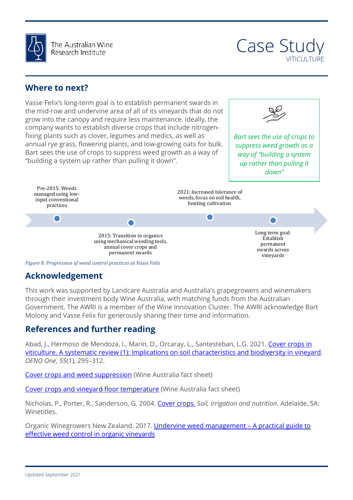

The Australian Wine Research Institute

### **Where to next?**

Vasse Felix's long-term goal is to establish permanent swards in the mid-row and undervine area of all of its vineyards that do not grow into the canopy and require less maintenance. Ideally, the company wants to establish diverse crops that include nitrogenfixing plants such as clover, legumes and medics, as well as annual rye grass, flowering plants, and low-growing oats for bulk. Bart sees the use of crops to suppress weed growth as a way of "building a system up rather than pulling it down".



*Bart sees the use of crops to suppress weed growth as a way of "building a system up rather than pulling it down"*



*Figure 8. Progression of weed control practices at Vasse Felix*

## **Acknowledgement**

This work was supported by Landcare Australia and Australia's grapegrowers and winemakers<br>through their investment body Wine Australia, with matching funds from the Australian Molony and Vasse Felix for generously sharing their time and information.<br>Defeating soon and first having ding through their investment body Wine Australia, with matching funds from the Australian Government. The AWRI is a member of the Wine Innovation Cluster. The AWRI acknowledge Bart

## **References and further reading**

Abad, J., Hermoso de Mendoza, I., Marín, D., Orcaray, L., Santesteban, L.G. 2021. <u>Cover crops in</u><br>Viticulture, A systematis review (1): Implications en seil sharasteristiss and biodiversity in vineya viticulture. A systematic review (1): [Implications on soil characteristics and biodiversity in vineyard.](https://oeno-one.eu/article/view/3599) *OENO One*, *55*(1), 295–312.

[Cover crops and weed suppression](https://www.wineaustralia.com/getmedia/f3032a3f-7566-4908-9ef7-8f4af7c37b01/201206-Cover-crops-and-weed-suppression.pdf) (Wine Australia fact sheet)

[Cover crops and vineyard floor temperature](https://www.wineaustralia.com/getmedia/d15c6f99-9134-4a43-8540-709b8d75f7d7/201205-Cover-crops-and-vineyard-floor-temperature.pdf) (Wine Australia fact sheet)

Nicholas, P., Porter, R., Sanderson, G. 2004. [Cover crops.](http://www.covercropfinder.com.au/uploads/documents/nicholas%20chapt.pdf) *Soil, irrigation and nutrition*. Adelaide, SA: Winetitles.

Organic Winegrowers New Zealand. 2017. [Undervine weed management –](https://merfield.com/research/2017/undervine-weed-management--a-practical-guide-to-effective-weed-control-in-organic-vineyards-2017-lambourne-merfield.pdf) A practical guide to [effective weed control in organic vineyards](https://merfield.com/research/2017/undervine-weed-management--a-practical-guide-to-effective-weed-control-in-organic-vineyards-2017-lambourne-merfield.pdf)